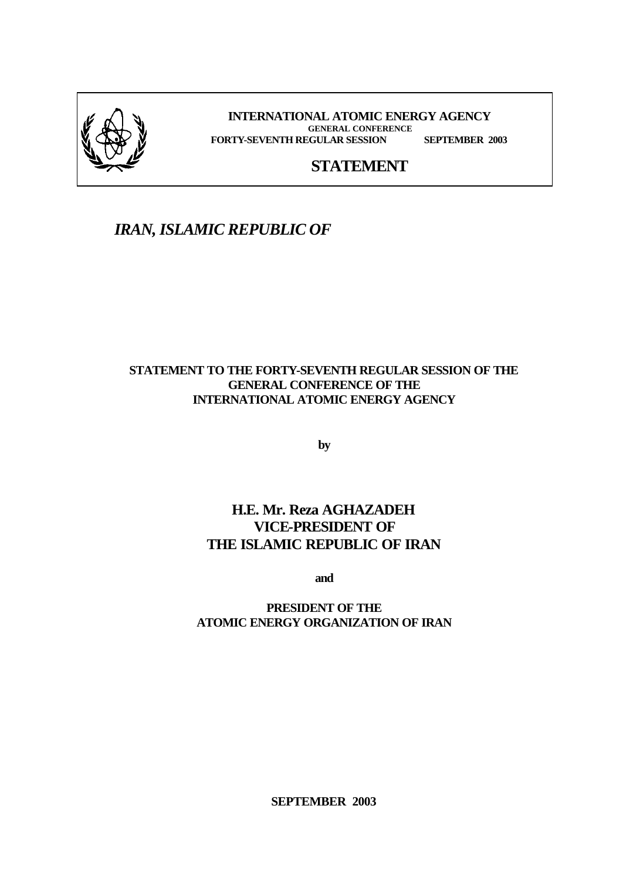

**INTERNATIONAL ATOMIC ENERGY AGENCY GENERAL CONFERENCE FORTY-SEVENTH REGULAR SESSION SEPTEMBER 2003**

## **STATEMENT**

## *IRAN, ISLAMIC REPUBLIC OF*

#### **STATEMENT TO THE FORTY-SEVENTH REGULAR SESSION OF THE GENERAL CONFERENCE OF THE INTERNATIONAL ATOMIC ENERGY AGENCY**

**by**

## **H.E. Mr. Reza AGHAZADEH VICE-PRESIDENT OF THE ISLAMIC REPUBLIC OF IRAN**

**and**

#### **PRESIDENT OF THE ATOMIC ENERGY ORGANIZATION OF IRAN**

**SEPTEMBER 2003**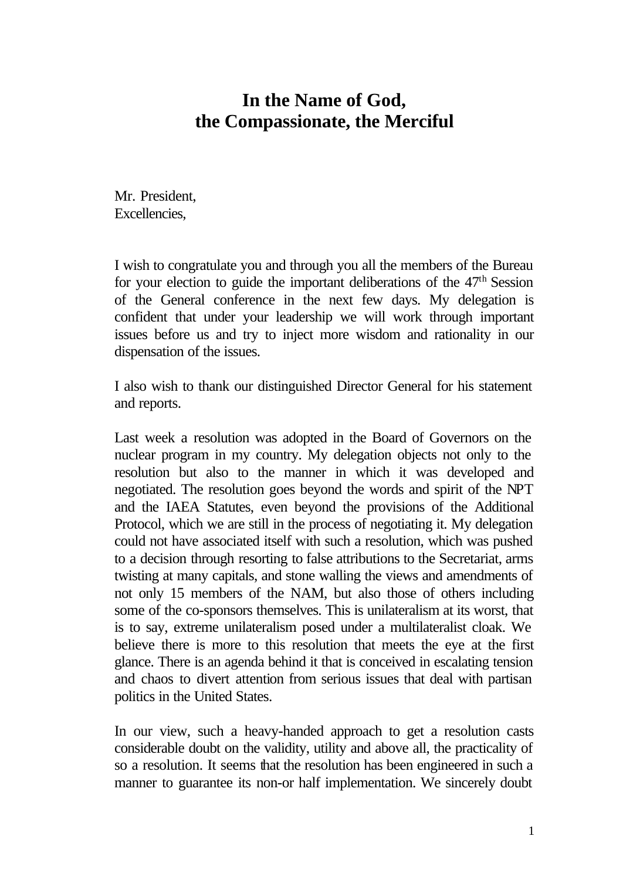# **In the Name of God, the Compassionate, the Merciful**

Mr. President, Excellencies,

I wish to congratulate you and through you all the members of the Bureau for your election to guide the important deliberations of the  $47<sup>th</sup>$  Session of the General conference in the next few days. My delegation is confident that under your leadership we will work through important issues before us and try to inject more wisdom and rationality in our dispensation of the issues.

I also wish to thank our distinguished Director General for his statement and reports.

Last week a resolution was adopted in the Board of Governors on the nuclear program in my country. My delegation objects not only to the resolution but also to the manner in which it was developed and negotiated. The resolution goes beyond the words and spirit of the NPT and the IAEA Statutes, even beyond the provisions of the Additional Protocol, which we are still in the process of negotiating it. My delegation could not have associated itself with such a resolution, which was pushed to a decision through resorting to false attributions to the Secretariat, arms twisting at many capitals, and stone walling the views and amendments of not only 15 members of the NAM, but also those of others including some of the co-sponsors themselves. This is unilateralism at its worst, that is to say, extreme unilateralism posed under a multilateralist cloak. We believe there is more to this resolution that meets the eye at the first glance. There is an agenda behind it that is conceived in escalating tension and chaos to divert attention from serious issues that deal with partisan politics in the United States.

In our view, such a heavy-handed approach to get a resolution casts considerable doubt on the validity, utility and above all, the practicality of so a resolution. It seems that the resolution has been engineered in such a manner to guarantee its non-or half implementation. We sincerely doubt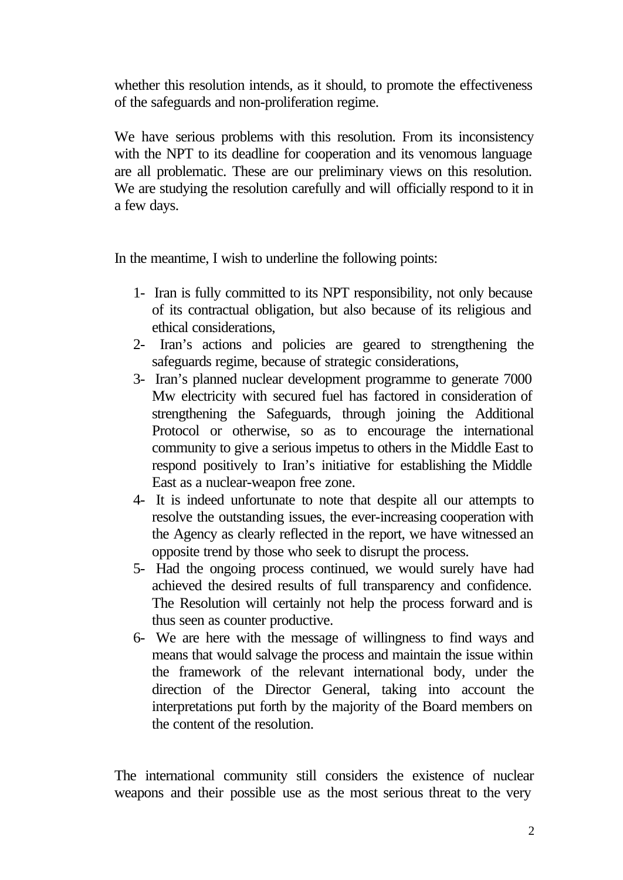whether this resolution intends, as it should, to promote the effectiveness of the safeguards and non-proliferation regime.

We have serious problems with this resolution. From its inconsistency with the NPT to its deadline for cooperation and its venomous language are all problematic. These are our preliminary views on this resolution. We are studying the resolution carefully and will officially respond to it in a few days.

In the meantime, I wish to underline the following points:

- 1- Iran is fully committed to its NPT responsibility, not only because of its contractual obligation, but also because of its religious and ethical considerations,
- 2- Iran's actions and policies are geared to strengthening the safeguards regime, because of strategic considerations,
- 3- Iran's planned nuclear development programme to generate 7000 Mw electricity with secured fuel has factored in consideration of strengthening the Safeguards, through joining the Additional Protocol or otherwise, so as to encourage the international community to give a serious impetus to others in the Middle East to respond positively to Iran's initiative for establishing the Middle East as a nuclear-weapon free zone.
- 4- It is indeed unfortunate to note that despite all our attempts to resolve the outstanding issues, the ever-increasing cooperation with the Agency as clearly reflected in the report, we have witnessed an opposite trend by those who seek to disrupt the process.
- 5- Had the ongoing process continued, we would surely have had achieved the desired results of full transparency and confidence. The Resolution will certainly not help the process forward and is thus seen as counter productive.
- 6- We are here with the message of willingness to find ways and means that would salvage the process and maintain the issue within the framework of the relevant international body, under the direction of the Director General, taking into account the interpretations put forth by the majority of the Board members on the content of the resolution.

The international community still considers the existence of nuclear weapons and their possible use as the most serious threat to the very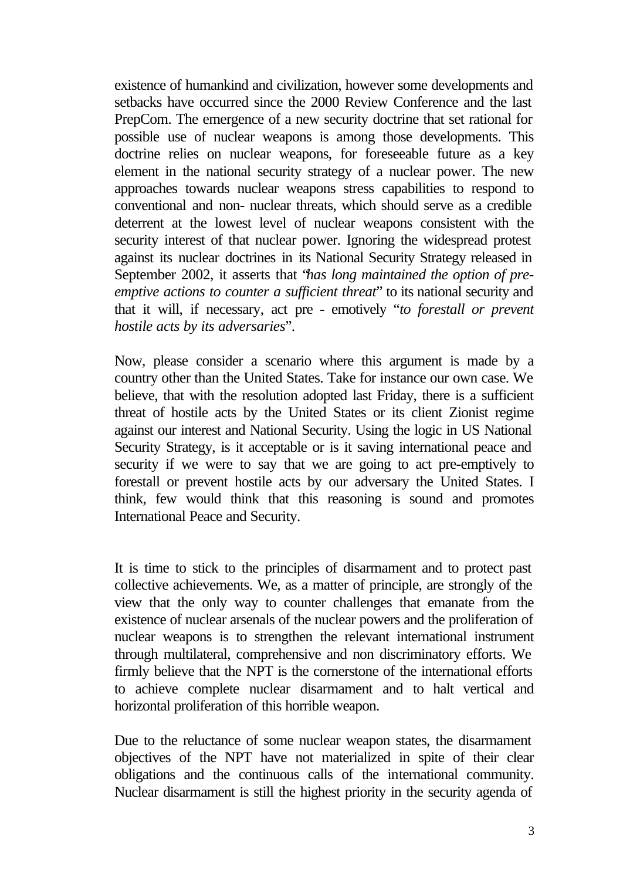existence of humankind and civilization, however some developments and setbacks have occurred since the 2000 Review Conference and the last PrepCom. The emergence of a new security doctrine that set rational for possible use of nuclear weapons is among those developments. This doctrine relies on nuclear weapons, for foreseeable future as a key element in the national security strategy of a nuclear power. The new approaches towards nuclear weapons stress capabilities to respond to conventional and non- nuclear threats, which should serve as a credible deterrent at the lowest level of nuclear weapons consistent with the security interest of that nuclear power. Ignoring the widespread protest against its nuclear doctrines in its National Security Strategy released in September 2002, it asserts that "*has long maintained the option of preemptive actions to counter a sufficient threat*" to its national security and that it will, if necessary, act pre - emotively "*to forestall or prevent hostile acts by its adversaries*".

Now, please consider a scenario where this argument is made by a country other than the United States. Take for instance our own case. We believe, that with the resolution adopted last Friday, there is a sufficient threat of hostile acts by the United States or its client Zionist regime against our interest and National Security. Using the logic in US National Security Strategy, is it acceptable or is it saving international peace and security if we were to say that we are going to act pre-emptively to forestall or prevent hostile acts by our adversary the United States. I think, few would think that this reasoning is sound and promotes International Peace and Security.

It is time to stick to the principles of disarmament and to protect past collective achievements. We, as a matter of principle, are strongly of the view that the only way to counter challenges that emanate from the existence of nuclear arsenals of the nuclear powers and the proliferation of nuclear weapons is to strengthen the relevant international instrument through multilateral, comprehensive and non discriminatory efforts. We firmly believe that the NPT is the cornerstone of the international efforts to achieve complete nuclear disarmament and to halt vertical and horizontal proliferation of this horrible weapon.

Due to the reluctance of some nuclear weapon states, the disarmament objectives of the NPT have not materialized in spite of their clear obligations and the continuous calls of the international community. Nuclear disarmament is still the highest priority in the security agenda of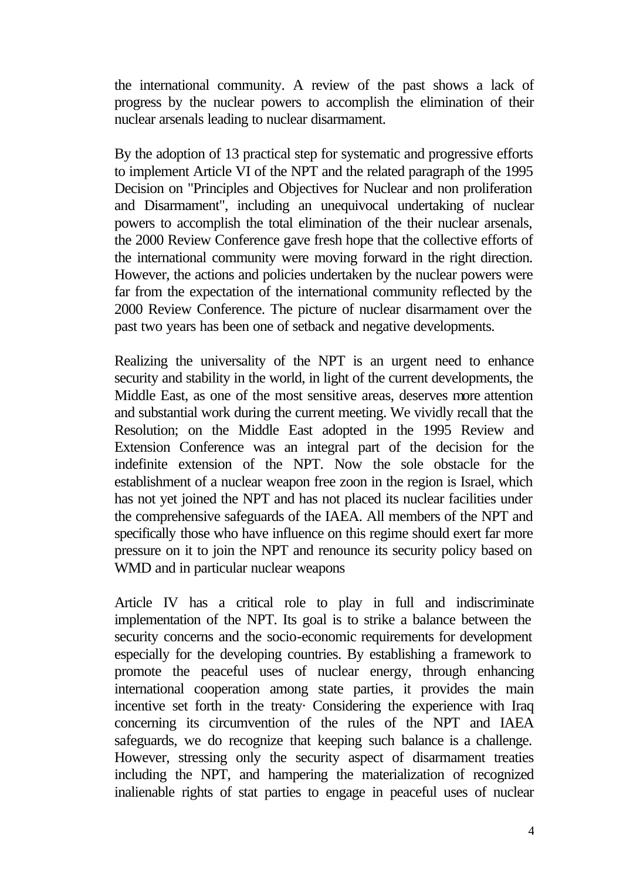the international community. A review of the past shows a lack of progress by the nuclear powers to accomplish the elimination of their nuclear arsenals leading to nuclear disarmament.

By the adoption of 13 practical step for systematic and progressive efforts to implement Article VI of the NPT and the related paragraph of the 1995 Decision on "Principles and Objectives for Nuclear and non proliferation and Disarmament", including an unequivocal undertaking of nuclear powers to accomplish the total elimination of the their nuclear arsenals, the 2000 Review Conference gave fresh hope that the collective efforts of the international community were moving forward in the right direction. However, the actions and policies undertaken by the nuclear powers were far from the expectation of the international community reflected by the 2000 Review Conference. The picture of nuclear disarmament over the past two years has been one of setback and negative developments.

Realizing the universality of the NPT is an urgent need to enhance security and stability in the world, in light of the current developments, the Middle East, as one of the most sensitive areas, deserves more attention and substantial work during the current meeting. We vividly recall that the Resolution; on the Middle East adopted in the 1995 Review and Extension Conference was an integral part of the decision for the indefinite extension of the NPT. Now the sole obstacle for the establishment of a nuclear weapon free zoon in the region is Israel, which has not yet joined the NPT and has not placed its nuclear facilities under the comprehensive safeguards of the IAEA. All members of the NPT and specifically those who have influence on this regime should exert far more pressure on it to join the NPT and renounce its security policy based on WMD and in particular nuclear weapons

Article IV has a critical role to play in full and indiscriminate implementation of the NPT. Its goal is to strike a balance between the security concerns and the socio-economic requirements for development especially for the developing countries. By establishing a framework to promote the peaceful uses of nuclear energy, through enhancing international cooperation among state parties, it provides the main incentive set forth in the treaty· Considering the experience with Iraq concerning its circumvention of the rules of the NPT and IAEA safeguards, we do recognize that keeping such balance is a challenge. However, stressing only the security aspect of disarmament treaties including the NPT, and hampering the materialization of recognized inalienable rights of stat parties to engage in peaceful uses of nuclear